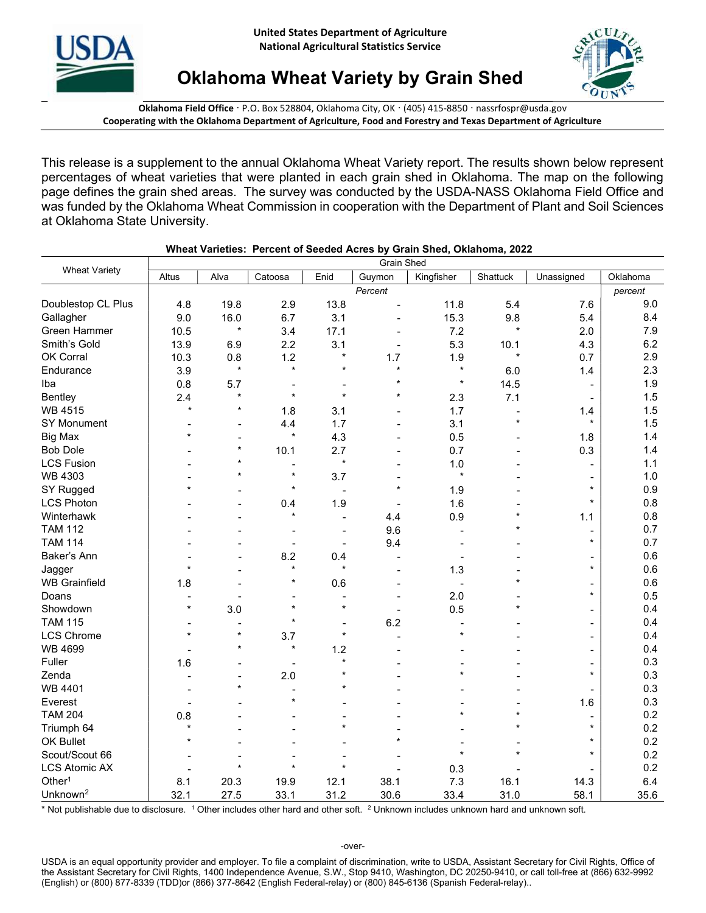



Oklahoma Wheat Variety by Grain Shed

Oklahoma Field Office · P.O. Box 528804, Oklahoma City, OK · (405) 415-8850 · nassrfospr@usda.gov Cooperating with the Oklahoma Department of Agriculture, Food and Forestry and Texas Department of Agriculture

This release is a supplement to the annual Oklahoma Wheat Variety report. The results shown below represent percentages of wheat varieties that were planted in each grain shed in Oklahoma. The map on the following page defines the grain shed areas. The survey was conducted by the USDA-NASS Oklahoma Field Office and was funded by the Oklahoma Wheat Commission in cooperation with the Department of Plant and Soil Sciences at Oklahoma State University.

| <b>Wheat Variety</b> | <b>Grain Shed</b> |                |                      |                          |                          |                |                |                          |          |
|----------------------|-------------------|----------------|----------------------|--------------------------|--------------------------|----------------|----------------|--------------------------|----------|
|                      | Altus             | Alva           | Catoosa              | Enid                     | Guymon                   | Kingfisher     | Shattuck       | Unassigned               | Oklahoma |
|                      |                   |                |                      |                          | Percent                  |                |                |                          | percent  |
| Doublestop CL Plus   | 4.8               | 19.8           | 2.9                  | 13.8                     |                          | 11.8           | 5.4            | 7.6                      | 9.0      |
| Gallagher            | 9.0               | 16.0           | 6.7                  | 3.1                      |                          | 15.3           | 9.8            | 5.4                      | 8.4      |
| Green Hammer         | 10.5              | $\star$        | 3.4                  | 17.1                     |                          | 7.2            | $\star$        | 2.0                      | 7.9      |
| Smith's Gold         | 13.9              | 6.9            | 2.2                  | 3.1                      |                          | 5.3            | 10.1           | 4.3                      | 6.2      |
| OK Corral            | 10.3              | 0.8            | 1.2                  | $\star$                  | 1.7                      | 1.9            | $\star$        | 0.7                      | 2.9      |
| Endurance            | 3.9               | $\star$        | $\star$              | $\star$                  | $\star$                  | $\star$        | 6.0            | 1.4                      | 2.3      |
| Iba                  | 0.8               | 5.7            |                      |                          | $\star$                  | $\star$        | 14.5           |                          | 1.9      |
| Bentley              | 2.4               | $\star$        | $\star$              | $\star$                  | $\star$                  | 2.3            | 7.1            |                          | 1.5      |
| <b>WB 4515</b>       | $\star$           | $\star$        | 1.8                  | 3.1                      |                          | 1.7            | $\blacksquare$ | 1.4                      | 1.5      |
| SY Monument          |                   | $\overline{a}$ | 4.4                  | 1.7                      |                          | 3.1            | $\star$        | $\star$                  | 1.5      |
| <b>Big Max</b>       | $\star$           |                | $\star$              | 4.3                      |                          | 0.5            |                | 1.8                      | 1.4      |
| <b>Bob Dole</b>      |                   | $\star$        | 10.1                 | 2.7                      |                          | 0.7            |                | 0.3                      | 1.4      |
| <b>LCS Fusion</b>    |                   | $\star$        |                      | $\star$                  |                          | 1.0            |                |                          | 1.1      |
| <b>WB 4303</b>       |                   | $\star$        | $\star$              | 3.7                      |                          | $\star$        |                | $\overline{\phantom{a}}$ | 1.0      |
| SY Rugged            | $\star$           |                | $\star$              |                          | $\star$                  | 1.9            |                | $\star$                  | 0.9      |
| <b>LCS Photon</b>    |                   |                | 0.4                  | 1.9                      |                          | 1.6            |                | $\star$                  | 0.8      |
| Winterhawk           |                   |                | $\star$              | $\blacksquare$           | 4.4                      | 0.9            | $\star$        | 1.1                      | 0.8      |
| <b>TAM 112</b>       |                   |                |                      |                          | 9.6                      |                | $\star$        | $\qquad \qquad$          | 0.7      |
| <b>TAM 114</b>       |                   |                |                      | $\overline{\phantom{a}}$ | 9.4                      |                |                | $\star$                  | 0.7      |
| Baker's Ann          |                   |                | 8.2                  | 0.4                      |                          |                |                |                          | 0.6      |
| Jagger               | ÷                 |                | $\star$              | $\star$                  |                          | 1.3            |                | $\star$                  | 0.6      |
| <b>WB Grainfield</b> | 1.8               |                |                      | 0.6                      |                          |                |                | $\overline{\phantom{0}}$ | 0.6      |
| Doans                |                   |                |                      |                          |                          | 2.0            |                | $\star$                  | 0.5      |
| Showdown             | $\star$           | 3.0            | $\star$              | $\star$                  | $\overline{\phantom{a}}$ | 0.5            | $\star$        | $\overline{\phantom{a}}$ | 0.4      |
| <b>TAM 115</b>       | $\blacksquare$    |                | $\ddot{\phantom{0}}$ |                          | 6.2                      | $\overline{a}$ |                | $\blacksquare$           | 0.4      |
| <b>LCS Chrome</b>    | $\star$           | $\star$        | 3.7                  | $\star$                  |                          | $\star$        |                | $\blacksquare$           | 0.4      |
| <b>WB 4699</b>       |                   | $\star$        | $\star$              | 1.2                      |                          |                |                | $\overline{\phantom{a}}$ | 0.4      |
| Fuller               | 1.6               |                |                      | $\star$                  |                          |                |                |                          | 0.3      |
| Zenda                |                   |                | 2.0                  |                          |                          | $\star$        |                | $\star$                  | 0.3      |
| WB 4401              |                   | $\star$        |                      |                          |                          |                |                |                          | 0.3      |
| Everest              |                   |                | $\star$              |                          |                          |                |                | 1.6                      | 0.3      |
| <b>TAM 204</b>       | 0.8               |                |                      |                          |                          |                | $\star$        |                          | 0.2      |
| Triumph 64           | $\star$           |                |                      | $\star$                  |                          |                |                | $\star$                  | 0.2      |
| OK Bullet            |                   |                |                      |                          |                          |                |                | $^\star$                 | 0.2      |
| Scout/Scout 66       |                   |                |                      |                          |                          |                |                | $\star$                  | 0.2      |
| <b>LCS Atomic AX</b> |                   | $\star$        | $\star$              | $\star$                  |                          | 0.3            |                |                          | 0.2      |
| Other <sup>1</sup>   | 8.1               | 20.3           | 19.9                 | 12.1                     | 38.1                     | 7.3            | 16.1           | 14.3                     | 6.4      |
| Unknown <sup>2</sup> | 32.1              | 27.5           | 33.1                 | 31.2                     | 30.6                     | 33.4           | 31.0           | 58.1                     | 35.6     |

## Wheat Varieties: Percent of Seeded Acres by Grain Shed, Oklahoma, 2022

\* Not publishable due to disclosure. <sup>1</sup> Other includes other hard and other soft. <sup>2</sup> Unknown includes unknown hard and unknown soft.

-over-

USDA is an equal opportunity provider and employer. To file a complaint of discrimination, write to USDA, Assistant Secretary for Civil Rights, Office of the Assistant Secretary for Civil Rights, 1400 Independence Avenue, S.W., Stop 9410, Washington, DC 20250-9410, or call toll-free at (866) 632-9992 (English) or (800) 877-8339 (TDD)or (866) 377-8642 (English Federal-relay) or (800) 845-6136 (Spanish Federal-relay)..